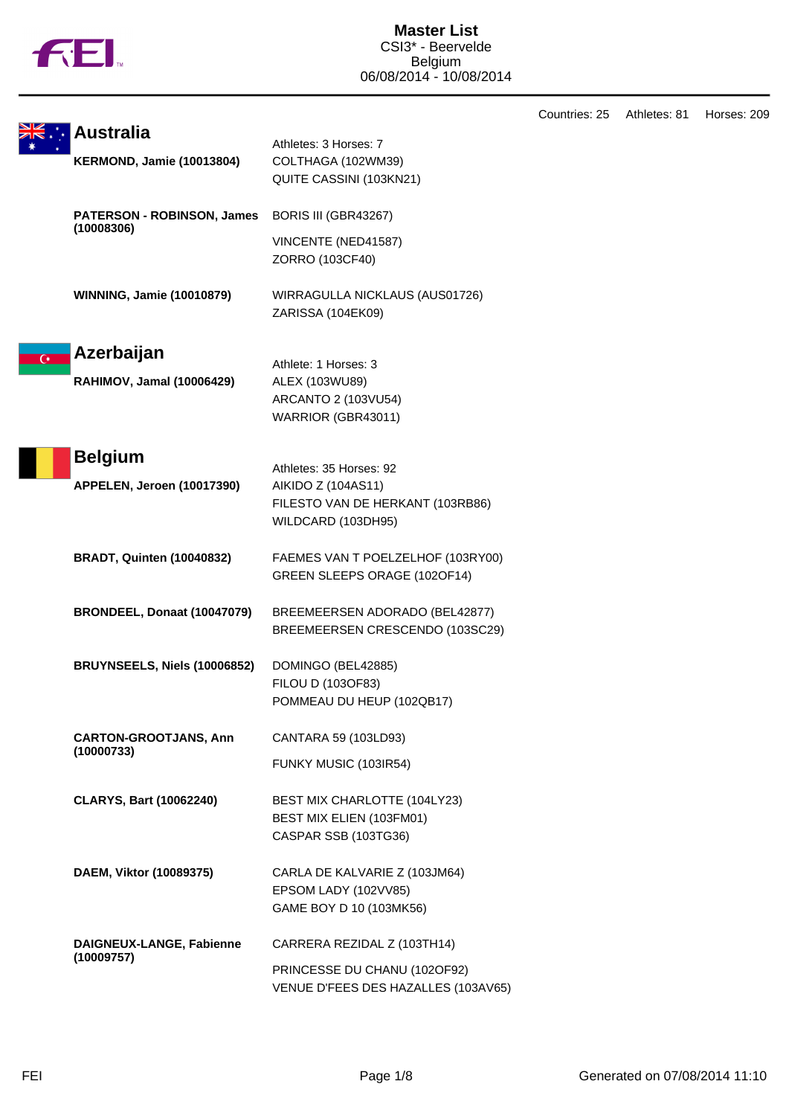

|                |                                                 |                                                        | Countries: 25 | Athletes: 81 | Horses: 209 |
|----------------|-------------------------------------------------|--------------------------------------------------------|---------------|--------------|-------------|
|                | Australia                                       | Athletes: 3 Horses: 7                                  |               |              |             |
|                | <b>KERMOND, Jamie (10013804)</b>                | COLTHAGA (102WM39)                                     |               |              |             |
|                |                                                 | QUITE CASSINI (103KN21)                                |               |              |             |
|                | <b>PATERSON - ROBINSON, James</b><br>(10008306) | BORIS III (GBR43267)                                   |               |              |             |
|                |                                                 | VINCENTE (NED41587)                                    |               |              |             |
|                |                                                 | ZORRO (103CF40)                                        |               |              |             |
|                | <b>WINNING, Jamie (10010879)</b>                | WIRRAGULLA NICKLAUS (AUS01726)                         |               |              |             |
|                |                                                 | ZARISSA (104EK09)                                      |               |              |             |
| $\overline{C}$ | Azerbaijan                                      | Athlete: 1 Horses: 3                                   |               |              |             |
|                | RAHIMOV, Jamal (10006429)                       | ALEX (103WU89)                                         |               |              |             |
|                |                                                 | ARCANTO 2 (103VU54)                                    |               |              |             |
|                |                                                 | WARRIOR (GBR43011)                                     |               |              |             |
|                | <b>Belgium</b>                                  |                                                        |               |              |             |
|                |                                                 | Athletes: 35 Horses: 92                                |               |              |             |
|                | APPELEN, Jeroen (10017390)                      | AIKIDO Z (104AS11)<br>FILESTO VAN DE HERKANT (103RB86) |               |              |             |
|                |                                                 | WILDCARD (103DH95)                                     |               |              |             |
|                | <b>BRADT, Quinten (10040832)</b>                | FAEMES VAN T POELZELHOF (103RY00)                      |               |              |             |
|                |                                                 | GREEN SLEEPS ORAGE (102OF14)                           |               |              |             |
|                | BRONDEEL, Donaat (10047079)                     | BREEMEERSEN ADORADO (BEL42877)                         |               |              |             |
|                |                                                 | BREEMEERSEN CRESCENDO (103SC29)                        |               |              |             |
|                | BRUYNSEELS, Niels (10006852)                    | DOMINGO (BEL42885)                                     |               |              |             |
|                |                                                 | FILOU D (103OF83)                                      |               |              |             |
|                |                                                 | POMMEAU DU HEUP (102QB17)                              |               |              |             |
|                | <b>CARTON-GROOTJANS, Ann</b><br>(10000733)      | CANTARA 59 (103LD93)                                   |               |              |             |
|                |                                                 | FUNKY MUSIC (103IR54)                                  |               |              |             |
|                | <b>CLARYS, Bart (10062240)</b>                  | BEST MIX CHARLOTTE (104LY23)                           |               |              |             |
|                |                                                 | BEST MIX ELIEN (103FM01)<br>CASPAR SSB (103TG36)       |               |              |             |
|                | DAEM, Viktor (10089375)                         | CARLA DE KALVARIE Z (103JM64)                          |               |              |             |
|                |                                                 | EPSOM LADY (102VV85)                                   |               |              |             |
|                |                                                 | GAME BOY D 10 (103MK56)                                |               |              |             |
|                | DAIGNEUX-LANGE, Fabienne                        | CARRERA REZIDAL Z (103TH14)                            |               |              |             |
|                | (10009757)                                      | PRINCESSE DU CHANU (102OF92)                           |               |              |             |
|                |                                                 | VENUE D'FEES DES HAZALLES (103AV65)                    |               |              |             |
|                |                                                 |                                                        |               |              |             |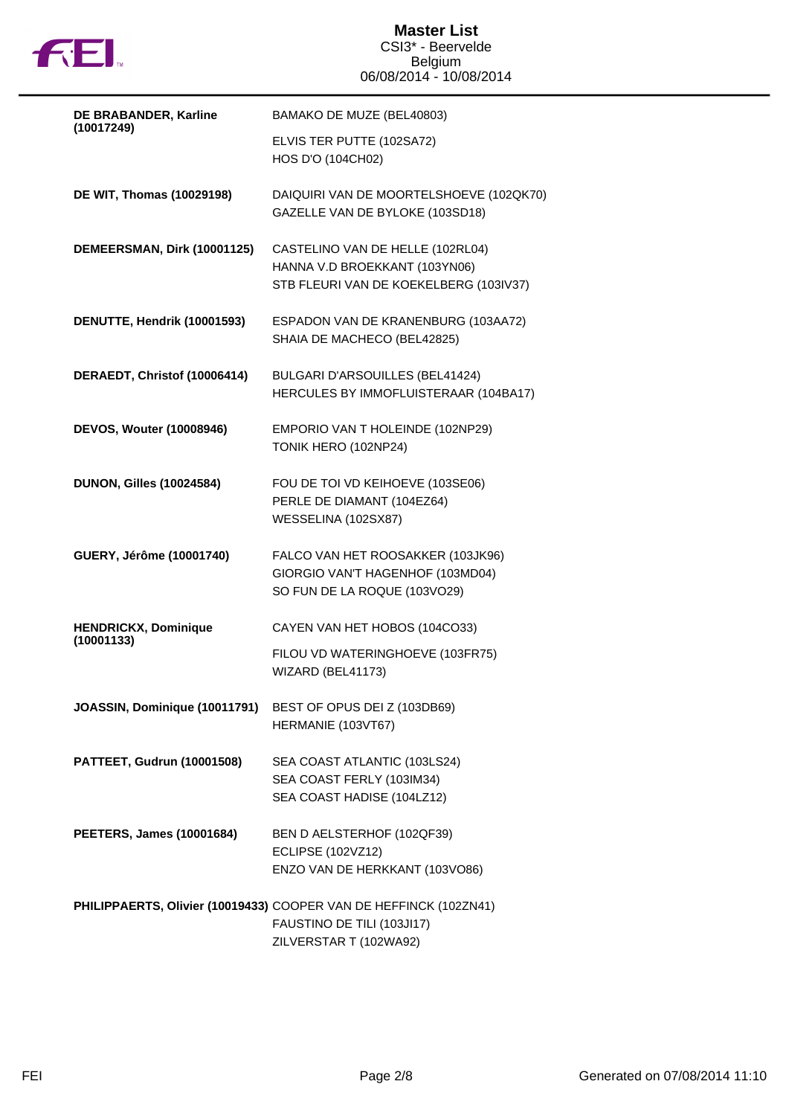

| DE BRABANDER, Karline                     | BAMAKO DE MUZE (BEL40803)                                                                                                 |
|-------------------------------------------|---------------------------------------------------------------------------------------------------------------------------|
| (10017249)                                | ELVIS TER PUTTE (102SA72)<br>HOS D'O (104CH02)                                                                            |
| DE WIT, Thomas (10029198)                 | DAIQUIRI VAN DE MOORTELSHOEVE (102QK70)<br>GAZELLE VAN DE BYLOKE (103SD18)                                                |
| DEMEERSMAN, Dirk (10001125)               | CASTELINO VAN DE HELLE (102RL04)<br>HANNA V.D BROEKKANT (103YN06)<br>STB FLEURI VAN DE KOEKELBERG (103IV37)               |
| DENUTTE, Hendrik (10001593)               | ESPADON VAN DE KRANENBURG (103AA72)<br>SHAIA DE MACHECO (BEL42825)                                                        |
| DERAEDT, Christof (10006414)              | BULGARI D'ARSOUILLES (BEL41424)<br>HERCULES BY IMMOFLUISTERAAR (104BA17)                                                  |
| <b>DEVOS, Wouter (10008946)</b>           | EMPORIO VAN T HOLEINDE (102NP29)<br>TONIK HERO (102NP24)                                                                  |
| <b>DUNON, Gilles (10024584)</b>           | FOU DE TOI VD KEIHOEVE (103SE06)<br>PERLE DE DIAMANT (104EZ64)<br>WESSELINA (102SX87)                                     |
| GUERY, Jérôme (10001740)                  | FALCO VAN HET ROOSAKKER (103JK96)<br>GIORGIO VAN'T HAGENHOF (103MD04)<br>SO FUN DE LA ROQUE (103VO29)                     |
| <b>HENDRICKX, Dominique</b><br>(10001133) | CAYEN VAN HET HOBOS (104CO33)<br>FILOU VD WATERINGHOEVE (103FR75)<br>WIZARD (BEL41173)                                    |
| JOASSIN, Dominique (10011791)             | BEST OF OPUS DEI Z (103DB69)<br>HERMANIE (103VT67)                                                                        |
| PATTEET, Gudrun (10001508)                | SEA COAST ATLANTIC (103LS24)<br>SEA COAST FERLY (103IM34)<br>SEA COAST HADISE (104LZ12)                                   |
| <b>PEETERS, James (10001684)</b>          | BEN D AELSTERHOF (102QF39)<br><b>ECLIPSE (102VZ12)</b><br>ENZO VAN DE HERKKANT (103VO86)                                  |
|                                           | PHILIPPAERTS, Olivier (10019433) COOPER VAN DE HEFFINCK (102ZN41)<br>FAUSTINO DE TILI (103JI17)<br>ZILVERSTAR T (102WA92) |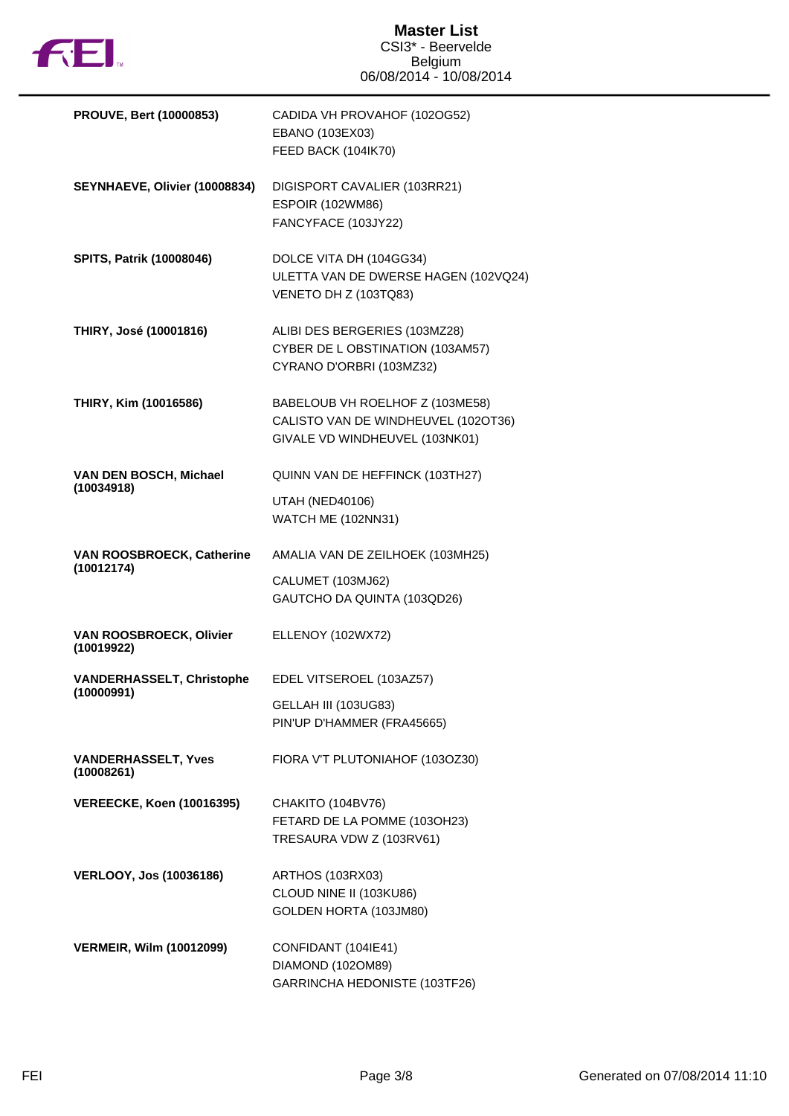

| <b>PROUVE, Bert (10000853)</b>           | CADIDA VH PROVAHOF (102OG52)<br>EBANO (103EX03)<br>FEED BACK (104IK70)                                   |
|------------------------------------------|----------------------------------------------------------------------------------------------------------|
| SEYNHAEVE, Olivier (10008834)            | DIGISPORT CAVALIER (103RR21)<br><b>ESPOIR (102WM86)</b><br>FANCYFACE (103JY22)                           |
| <b>SPITS, Patrik (10008046)</b>          | DOLCE VITA DH (104GG34)<br>ULETTA VAN DE DWERSE HAGEN (102VQ24)<br>VENETO DH Z (103TQ83)                 |
| THIRY, José (10001816)                   | ALIBI DES BERGERIES (103MZ28)<br>CYBER DE L OBSTINATION (103AM57)<br>CYRANO D'ORBRI (103MZ32)            |
| THIRY, Kim (10016586)                    | BABELOUB VH ROELHOF Z (103ME58)<br>CALISTO VAN DE WINDHEUVEL (102OT36)<br>GIVALE VD WINDHEUVEL (103NK01) |
| VAN DEN BOSCH, Michael                   | QUINN VAN DE HEFFINCK (103TH27)                                                                          |
| (10034918)                               | <b>UTAH (NED40106)</b><br><b>WATCH ME (102NN31)</b>                                                      |
| VAN ROOSBROECK, Catherine                | AMALIA VAN DE ZEILHOEK (103MH25)                                                                         |
| (10012174)                               | CALUMET (103MJ62)<br>GAUTCHO DA QUINTA (103QD26)                                                         |
| VAN ROOSBROECK, Olivier<br>(10019922)    | ELLENOY (102WX72)                                                                                        |
| <b>VANDERHASSELT, Christophe</b>         | EDEL VITSEROEL (103AZ57)                                                                                 |
| (10000991)                               | GELLAH III (103UG83)<br>PIN'UP D'HAMMER (FRA45665)                                                       |
| <b>VANDERHASSELT, Yves</b><br>(10008261) | FIORA V'T PLUTONIAHOF (103OZ30)                                                                          |
| <b>VEREECKE, Koen (10016395)</b>         | CHAKITO (104BV76)<br>FETARD DE LA POMME (103OH23)<br>TRESAURA VDW Z (103RV61)                            |
| <b>VERLOOY, Jos (10036186)</b>           | ARTHOS (103RX03)<br>CLOUD NINE II (103KU86)<br>GOLDEN HORTA (103JM80)                                    |
| <b>VERMEIR, Wilm (10012099)</b>          | CONFIDANT (104IE41)<br>DIAMOND (102OM89)<br>GARRINCHA HEDONISTE (103TF26)                                |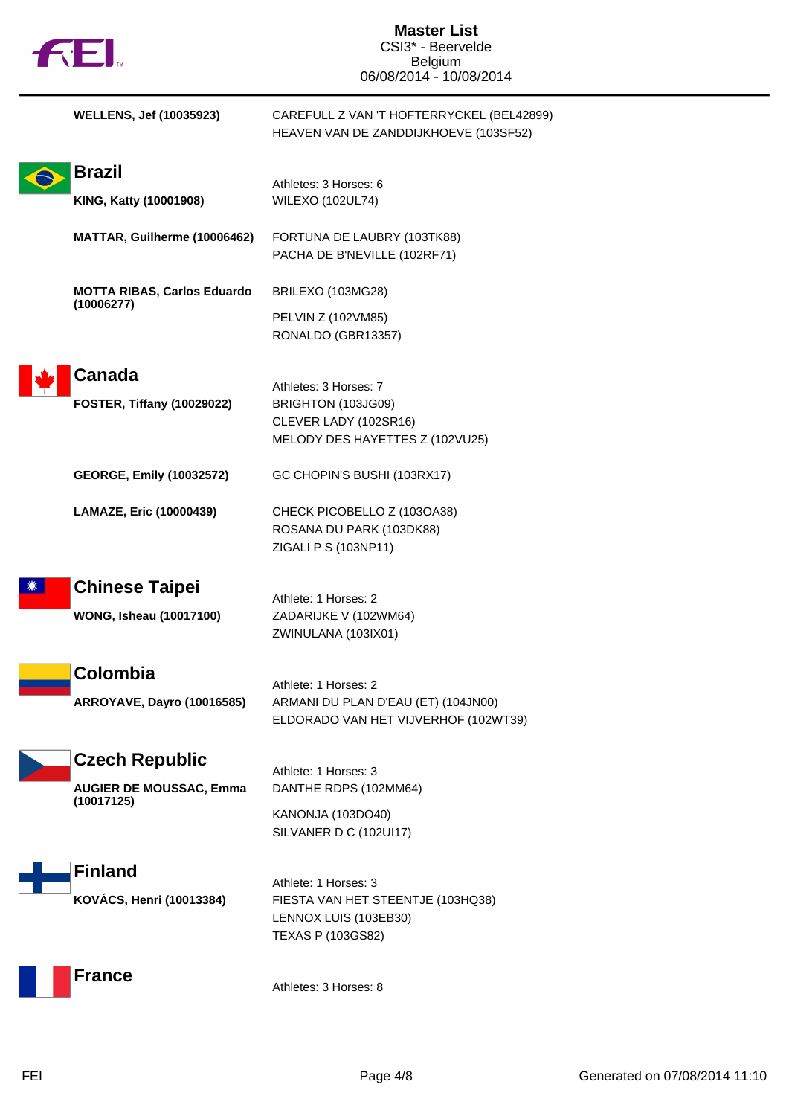| <b>FEI.</b>                                                           | <b>Master List</b><br>CSI3* - Beervelde<br><b>Belgium</b><br>06/08/2014 - 10/08/2014                    |
|-----------------------------------------------------------------------|---------------------------------------------------------------------------------------------------------|
| <b>WELLENS, Jef (10035923)</b>                                        | CAREFULL Z VAN 'T HOFTERRYCKEL (BEL42899)<br>HEAVEN VAN DE ZANDDIJKHOEVE (103SF52)                      |
| <b>Brazil</b><br>KING, Katty (10001908)                               | Athletes: 3 Horses: 6<br><b>WILEXO (102UL74)</b>                                                        |
| MATTAR, Guilherme (10006462)                                          | FORTUNA DE LAUBRY (103TK88)<br>PACHA DE B'NEVILLE (102RF71)                                             |
| <b>MOTTA RIBAS, Carlos Eduardo</b><br>(10006277)                      | BRILEXO (103MG28)<br>PELVIN Z (102VM85)<br>RONALDO (GBR13357)                                           |
| <b>Canada</b><br><b>FOSTER, Tiffany (10029022)</b>                    | Athletes: 3 Horses: 7<br>BRIGHTON (103JG09)<br>CLEVER LADY (102SR16)<br>MELODY DES HAYETTES Z (102VU25) |
| <b>GEORGE, Emily (10032572)</b>                                       | GC CHOPIN'S BUSHI (103RX17)                                                                             |
| LAMAZE, Eric (10000439)                                               | CHECK PICOBELLO Z (103OA38)<br>ROSANA DU PARK (103DK88)<br>ZIGALI P S (103NP11)                         |
| <b>Chinese Taipei</b><br><b>WONG, Isheau (10017100)</b>               | Athlete: 1 Horses: 2<br>ZADARIJKE V (102WM64)<br>ZWINULANA (103IX01)                                    |
| Colombia<br>ARROYAVE, Dayro (10016585)                                | Athlete: 1 Horses: 2<br>ARMANI DU PLAN D'EAU (ET) (104JN00)<br>ELDORADO VAN HET VIJVERHOF (102WT39)     |
| <b>Czech Republic</b><br><b>AUGIER DE MOUSSAC, Emma</b><br>(10017125) | Athlete: 1 Horses: 3<br>DANTHE RDPS (102MM64)                                                           |
|                                                                       | KANONJA (103DO40)<br>SILVANER D C (102UI17)                                                             |
| <b>Finland</b><br>KOVÁCS, Henri (10013384)                            | Athlete: 1 Horses: 3<br>FIESTA VAN HET STEENTJE (103HQ38)<br>LENNOX LUIS (103EB30)<br>TEXAS P (103GS82) |
| <b>France</b>                                                         | Athletes: 3 Horses: 8                                                                                   |

 $\blacksquare$ 

I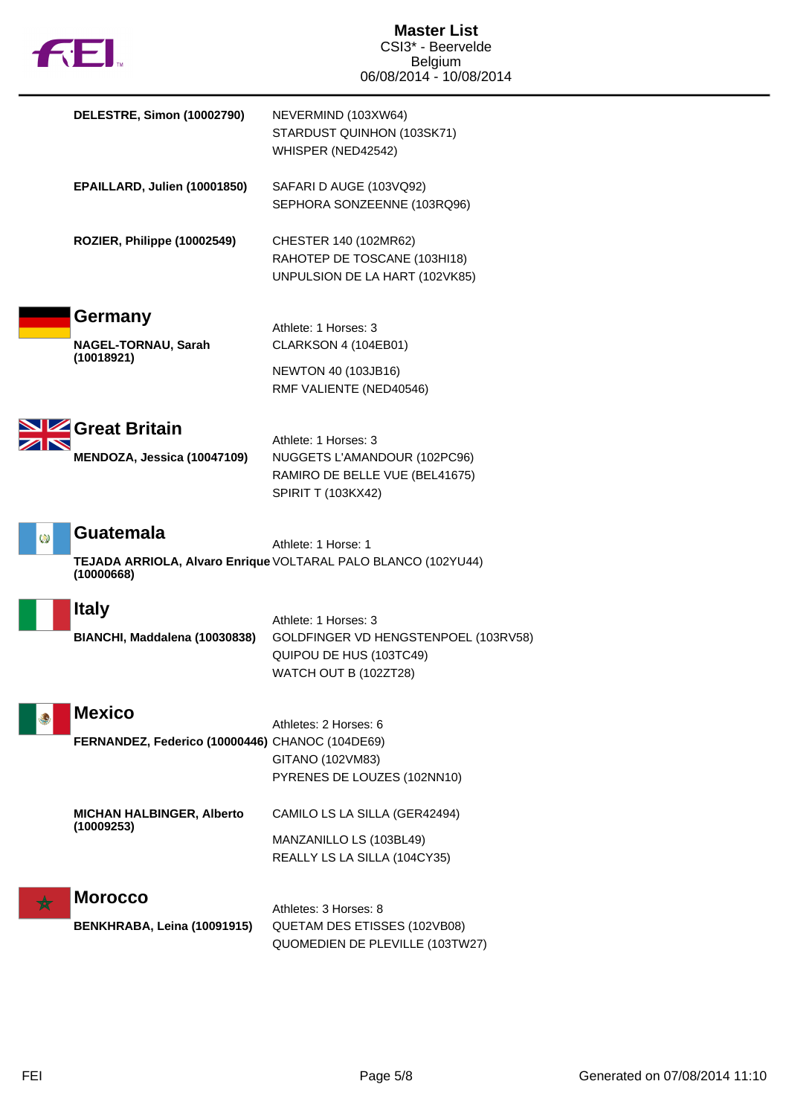| <b>TM</b> |
|-----------|

|            | DELESTRE, Simon (10002790)                                       | NEVERMIND (103XW64)<br>STARDUST QUINHON (103SK71)<br>WHISPER (NED42542)                                             |
|------------|------------------------------------------------------------------|---------------------------------------------------------------------------------------------------------------------|
|            | EPAILLARD, Julien (10001850)                                     | SAFARI D AUGE (103VQ92)<br>SEPHORA SONZEENNE (103RQ96)                                                              |
|            | ROZIER, Philippe (10002549)                                      | CHESTER 140 (102MR62)<br>RAHOTEP DE TOSCANE (103HI18)<br>UNPULSION DE LA HART (102VK85)                             |
|            | Germany<br>NAGEL-TORNAU, Sarah<br>(10018921)                     | Athlete: 1 Horses: 3<br>CLARKSON 4 (104EB01)<br><b>NEWTON 40 (103JB16)</b><br>RMF VALIENTE (NED40546)               |
|            | Great Britain<br>MENDOZA, Jessica (10047109)                     | Athlete: 1 Horses: 3<br>NUGGETS L'AMANDOUR (102PC96)<br>RAMIRO DE BELLE VUE (BEL41675)<br><b>SPIRIT T (103KX42)</b> |
| Ø          | <b>Guatemala</b><br>(10000668)                                   | Athlete: 1 Horse: 1<br>TEJADA ARRIOLA, Alvaro Enrique VOLTARAL PALO BLANCO (102YU44)                                |
|            | <b>Italy</b><br>BIANCHI, Maddalena (10030838)                    | Athlete: 1 Horses: 3<br>GOLDFINGER VD HENGSTENPOEL (103RV58)<br>QUIPOU DE HUS (103TC49)<br>WATCH OUT B (102ZT28)    |
|            | <b>Mexico</b><br>FERNANDEZ, Federico (10000446) CHANOC (104DE69) | Athletes: 2 Horses: 6<br>GITANO (102VM83)<br>PYRENES DE LOUZES (102NN10)                                            |
|            | <b>MICHAN HALBINGER, Alberto</b><br>(10009253)                   | CAMILO LS LA SILLA (GER42494)<br>MANZANILLO LS (103BL49)<br>REALLY LS LA SILLA (104CY35)                            |
| $\bigstar$ | <b>Morocco</b><br>BENKHRABA, Leina (10091915)                    | Athletes: 3 Horses: 8<br>QUETAM DES ETISSES (102VB08)<br>QUOMEDIEN DE PLEVILLE (103TW27)                            |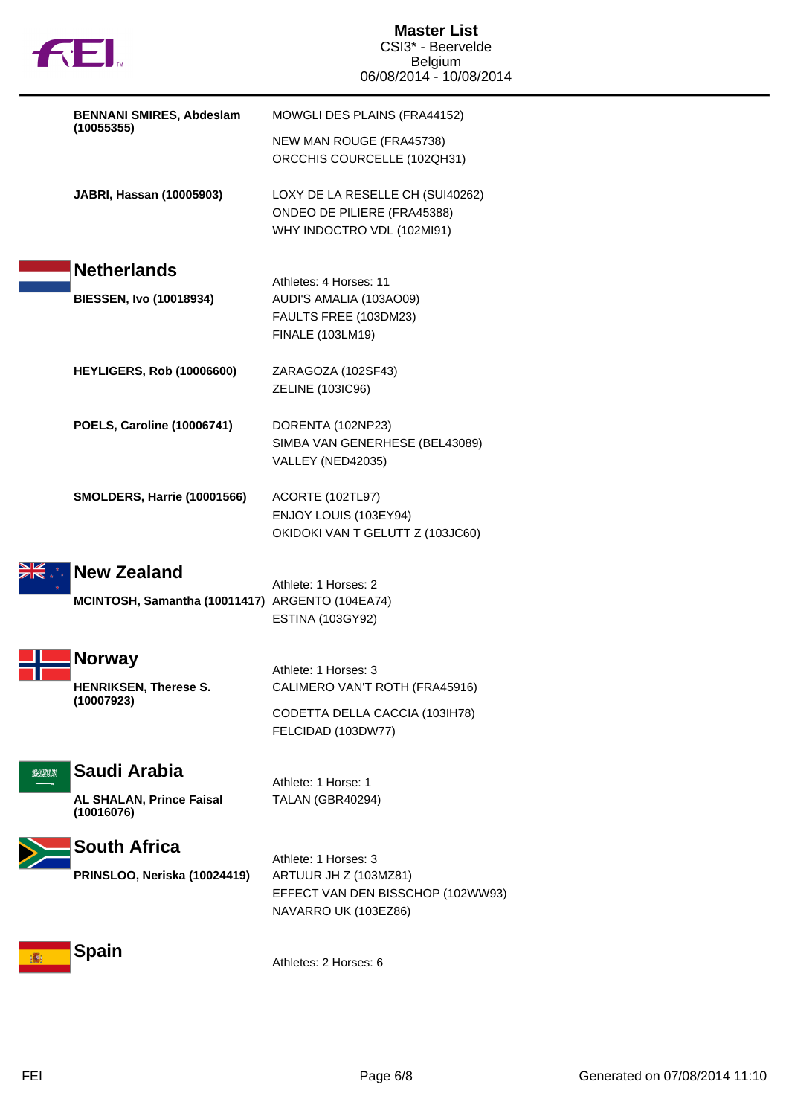|          | <b>BENNANI SMIRES, Abdeslam</b>                 | MOWGLI DES PLAINS (FRA44152)                                                                  |
|----------|-------------------------------------------------|-----------------------------------------------------------------------------------------------|
|          | (10055355)                                      | NEW MAN ROUGE (FRA45738)<br>ORCCHIS COURCELLE (102QH31)                                       |
|          | JABRI, Hassan (10005903)                        | LOXY DE LA RESELLE CH (SUI40262)<br>ONDEO DE PILIERE (FRA45388)<br>WHY INDOCTRO VDL (102MI91) |
|          | <b>Netherlands</b>                              | Athletes: 4 Horses: 11                                                                        |
|          | <b>BIESSEN, Ivo (10018934)</b>                  | AUDI'S AMALIA (103AO09)<br>FAULTS FREE (103DM23)<br>FINALE (103LM19)                          |
|          | <b>HEYLIGERS, Rob (10006600)</b>                | ZARAGOZA (102SF43)<br>ZELINE (103IC96)                                                        |
|          | <b>POELS, Caroline (10006741)</b>               | DORENTA (102NP23)<br>SIMBA VAN GENERHESE (BEL43089)<br>VALLEY (NED42035)                      |
|          | <b>SMOLDERS, Harrie (10001566)</b>              | ACORTE (102TL97)<br>ENJOY LOUIS (103EY94)<br>OKIDOKI VAN T GELUTT Z (103JC60)                 |
|          | <b>New Zealand</b>                              | Athlete: 1 Horses: 2                                                                          |
|          | MCINTOSH, Samantha (10011417) ARGENTO (104EA74) | <b>ESTINA (103GY92)</b>                                                                       |
|          | <b>Norway</b>                                   | Athlete: 1 Horses: 3                                                                          |
|          | <b>HENRIKSEN, Therese S.</b><br>(10007923)      | CALIMERO VAN'T ROTH (FRA45916)                                                                |
|          |                                                 | CODETTA DELLA CACCIA (103IH78)<br>FELCIDAD (103DW77)                                          |
| الالاجري | Saudi Arabia                                    | Athlete: 1 Horse: 1                                                                           |
|          | <b>AL SHALAN, Prince Faisal</b><br>(10016076)   | TALAN (GBR40294)                                                                              |
|          | <b>South Africa</b>                             | Athlete: 1 Horses: 3                                                                          |
|          | PRINSLOO, Neriska (10024419)                    | ARTUUR JH Z (103MZ81)<br>EFFECT VAN DEN BISSCHOP (102WW93)<br>NAVARRO UK (103EZ86)            |
|          | <b>Spain</b>                                    | Athletes: 2 Horses: 6                                                                         |

N

F

 $\sum_{i=1}^{n}$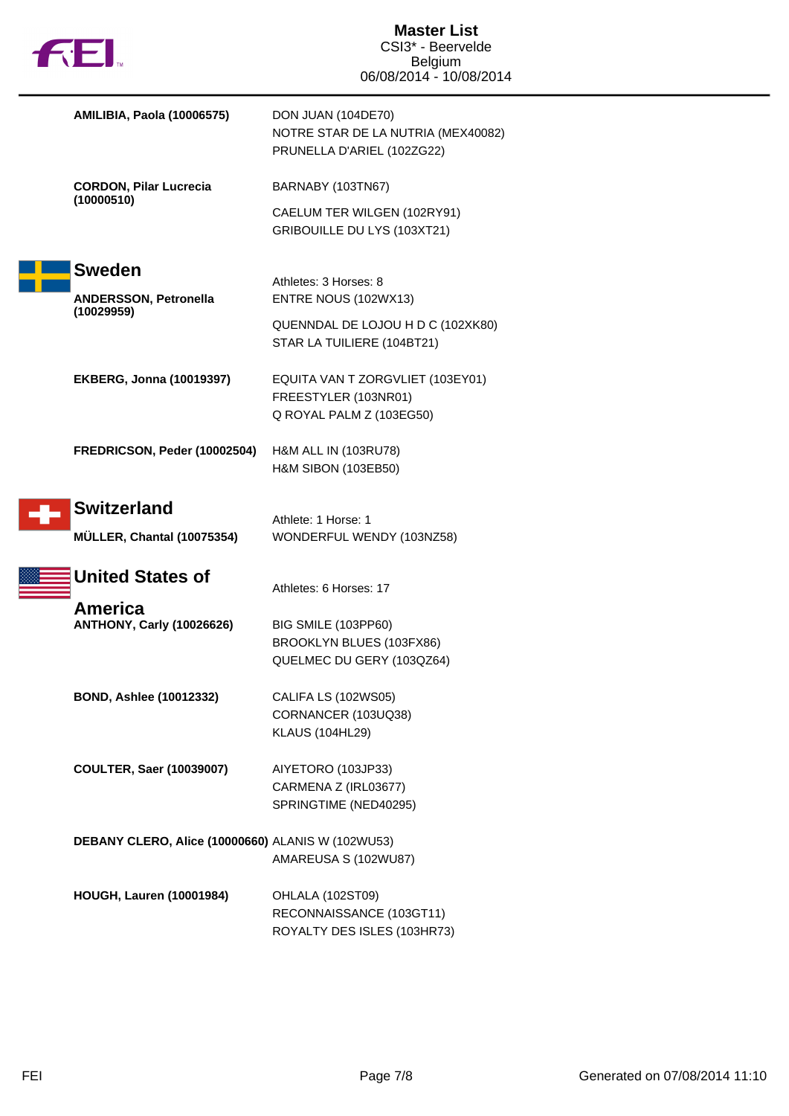|  | 长上                                                 | <b>Master List</b><br>CSI3* - Beervelde<br><b>Belgium</b><br>06/08/2014 - 10/08/2014   |
|--|----------------------------------------------------|----------------------------------------------------------------------------------------|
|  | <b>AMILIBIA, Paola (10006575)</b>                  | DON JUAN (104DE70)<br>NOTRE STAR DE LA NUTRIA (MEX40082)<br>PRUNELLA D'ARIEL (102ZG22) |
|  | <b>CORDON, Pilar Lucrecia</b><br>(10000510)        | BARNABY (103TN67)                                                                      |
|  |                                                    | CAELUM TER WILGEN (102RY91)<br>GRIBOUILLE DU LYS (103XT21)                             |
|  | <b>Sweden</b>                                      |                                                                                        |
|  | <b>ANDERSSON, Petronella</b>                       | Athletes: 3 Horses: 8<br>ENTRE NOUS (102WX13)                                          |
|  | (10029959)                                         | QUENNDAL DE LOJOU H D C (102XK80)<br>STAR LA TUILIERE (104BT21)                        |
|  | <b>EKBERG, Jonna (10019397)</b>                    | EQUITA VAN T ZORGVLIET (103EY01)<br>FREESTYLER (103NR01)<br>Q ROYAL PALM Z (103EG50)   |
|  | FREDRICSON, Peder (10002504)                       | H&M ALL IN (103RU78)<br>H&M SIBON (103EB50)                                            |
|  | <b>Switzerland</b>                                 |                                                                                        |
|  | MÜLLER, Chantal (10075354)                         | Athlete: 1 Horse: 1<br>WONDERFUL WENDY (103NZ58)                                       |
|  | <b>United States of</b>                            | Athletes: 6 Horses: 17                                                                 |
|  | <b>America</b><br><b>ANTHONY, Carly (10026626)</b> | BIG SMILE (103PP60)<br>BROOKLYN BLUES (103FX86)<br>QUELMEC DU GERY (103QZ64)           |
|  | <b>BOND, Ashlee (10012332)</b>                     | CALIFA LS (102WS05)<br>CORNANCER (103UQ38)<br><b>KLAUS (104HL29)</b>                   |
|  | <b>COULTER, Saer (10039007)</b>                    | AIYETORO (103JP33)<br>CARMENA Z (IRL03677)<br>SPRINGTIME (NED40295)                    |
|  | DEBANY CLERO, Alice (10000660) ALANIS W (102WU53)  | AMAREUSA S (102WU87)                                                                   |
|  | <b>HOUGH, Lauren (10001984)</b>                    | OHLALA (102ST09)<br>RECONNAISSANCE (103GT11)<br>ROYALTY DES ISLES (103HR73)            |